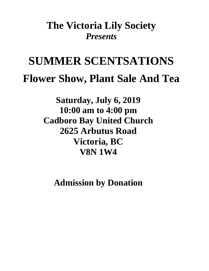# **The Victoria Lily Society** *Presents*

# **SUMMER SCENTSATIONS Flower Show, Plant Sale And Tea**

**Saturday, July 6, 2019 10:00 am to 4:00 pm Cadboro Bay United Church 2625 Arbutus Road Victoria, BC V8N 1W4**

**Admission by Donation**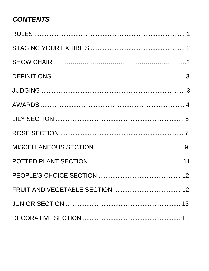# **CONTENTS**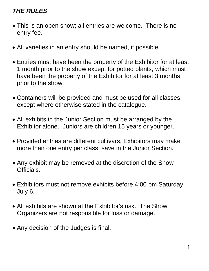### *THE RULES*

- This is an open show; all entries are welcome. There is no entry fee.
- All varieties in an entry should be named, if possible.
- Entries must have been the property of the Exhibitor for at least 1 month prior to the show except for potted plants, which must have been the property of the Exhibitor for at least 3 months prior to the show.
- Containers will be provided and must be used for all classes except where otherwise stated in the catalogue.
- All exhibits in the Junior Section must be arranged by the Exhibitor alone. Juniors are children 15 years or younger.
- Provided entries are different cultivars, Exhibitors may make more than one entry per class, save in the Junior Section.
- Any exhibit may be removed at the discretion of the Show Officials.
- Exhibitors must not remove exhibits before 4:00 pm Saturday, July 6.
- All exhibits are shown at the Exhibitor's risk. The Show Organizers are not responsible for loss or damage.
- Any decision of the Judges is final.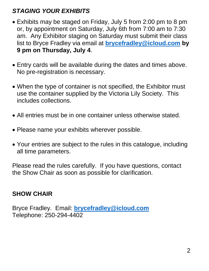### *STAGING YOUR EXHIBITS*

- Exhibits may be staged on Friday, July 5 from 2:00 pm to 8 pm or, by appointment on Saturday, July 6th from 7:00 am to 7:30 am. Any Exhibitor staging on Saturday must submit their class list to Bryce Fradley via email at **[brycefradley@icloud.com](mailto:brycefradley@icloud.com) by 9 pm on Thursday, July 4**.
- Entry cards will be available during the dates and times above. No pre-registration is necessary.
- When the type of container is not specified, the Exhibitor must use the container supplied by the Victoria Lily Society. This includes collections.
- All entries must be in one container unless otherwise stated.
- Please name your exhibits wherever possible.
- Your entries are subject to the rules in this catalogue, including all time parameters.

Please read the rules carefully. If you have questions, contact the Show Chair as soon as possible for clarification.

#### **SHOW CHAIR**

Bryce Fradley. Email: **[brycefradley@icloud.com](mailto:brycefradley@icloud.com)** Telephone: 250-294-4402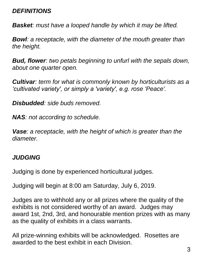#### *DEFINITIONS*

*Basket: must have a looped handle by which it may be lifted.*

*Bowl: a receptacle, with the diameter of the mouth greater than the height.*

*Bud, flower: two petals beginning to unfurl with the sepals down, about one quarter open.*

*Cultivar: term for what is commonly known by horticulturists as a 'cultivated variety', or simply a 'variety', e.g. rose 'Peace'.*

*Disbudded: side buds removed.*

*NAS: not according to schedule.*

*Vase: a receptacle, with the height of which is greater than the diameter.*

#### *JUDGING*

Judging is done by experienced horticultural judges.

Judging will begin at 8:00 am Saturday, July 6, 2019.

Judges are to withhold any or all prizes where the quality of the exhibits is not considered worthy of an award. Judges may award 1st, 2nd, 3rd, and honourable mention prizes with as many as the quality of exhibits in a class warrants.

All prize-winning exhibits will be acknowledged. Rosettes are awarded to the best exhibit in each Division.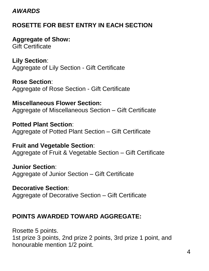#### *AWARDS*

#### **ROSETTE FOR BEST ENTRY IN EACH SECTION**

**Aggregate of Show:** Gift Certificate

**Lily Section**: Aggregate of Lily Section - Gift Certificate

**Rose Section**: Aggregate of Rose Section - Gift Certificate

**Miscellaneous Flower Section:** Aggregate of Miscellaneous Section – Gift Certificate

**Potted Plant Section**: Aggregate of Potted Plant Section – Gift Certificate

**Fruit and Vegetable Section**: Aggregate of Fruit & Vegetable Section – Gift Certificate

**Junior Section**: Aggregate of Junior Section – Gift Certificate

**Decorative Section**: Aggregate of Decorative Section – Gift Certificate

#### **POINTS AWARDED TOWARD AGGREGATE:**

Rosette 5 points. 1st prize 3 points, 2nd prize 2 points, 3rd prize 1 point, and honourable mention 1/2 point.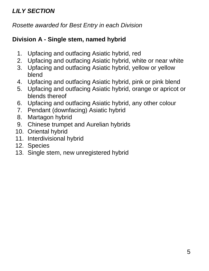## *LILY SECTION*

*Rosette awarded for Best Entry in each Division*

#### **Division A - Single stem, named hybrid**

- 1. Upfacing and outfacing Asiatic hybrid, red
- 2. Upfacing and outfacing Asiatic hybrid, white or near white
- 3. Upfacing and outfacing Asiatic hybrid, yellow or yellow blend
- 4. Upfacing and outfacing Asiatic hybrid, pink or pink blend
- 5. Upfacing and outfacing Asiatic hybrid, orange or apricot or blends thereof
- 6. Upfacing and outfacing Asiatic hybrid, any other colour
- 7. Pendant (downfacing) Asiatic hybrid
- 8. Martagon hybrid
- 9. Chinese trumpet and Aurelian hybrids
- 10. Oriental hybrid
- 11. Interdivisional hybrid
- 12. Species
- 13. Single stem, new unregistered hybrid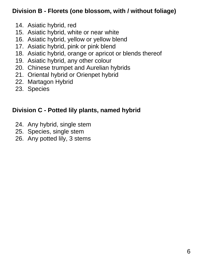#### **Division B - Florets (one blossom, with / without foliage)**

- 14. Asiatic hybrid, red
- 15. Asiatic hybrid, white or near white
- 16. Asiatic hybrid, yellow or yellow blend
- 17. Asiatic hybrid, pink or pink blend
- 18. Asiatic hybrid, orange or apricot or blends thereof
- 19. Asiatic hybrid, any other colour
- 20. Chinese trumpet and Aurelian hybrids
- 21. Oriental hybrid or Orienpet hybrid
- 22. Martagon Hybrid
- 23. Species

#### **Division C - Potted lily plants, named hybrid**

- 24. Any hybrid, single stem
- 25. Species, single stem
- 26. Any potted lily, 3 stems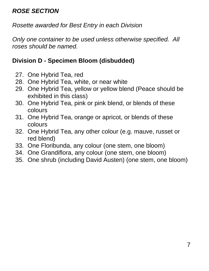#### *ROSE SECTION*

*Rosette awarded for Best Entry in each Division*

*Only one container to be used unless otherwise specified. All roses should be named.*

## **Division D - Specimen Bloom (disbudded)**

- 27. One Hybrid Tea, red
- 28. One Hybrid Tea, white, or near white
- 29. One Hybrid Tea, yellow or yellow blend (Peace should be exhibited in this class)
- 30. One Hybrid Tea, pink or pink blend, or blends of these colours
- 31. One Hybrid Tea, orange or apricot, or blends of these colours
- 32. One Hybrid Tea, any other colour (e.g. mauve, russet or red blend)
- 33. One Floribunda, any colour (one stem, one bloom)
- 34. One Grandiflora, any colour (one stem, one bloom)
- 35. One shrub (including David Austen) (one stem, one bloom)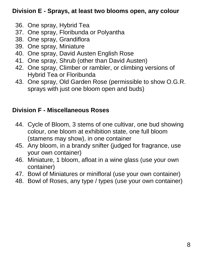#### **Division E - Sprays, at least two blooms open, any colour**

- 36. One spray, Hybrid Tea
- 37. One spray, Floribunda or Polyantha
- 38. One spray, Grandiflora
- 39. One spray, Miniature
- 40. One spray, David Austen English Rose
- 41. One spray, Shrub (other than David Austen)
- 42. One spray, Climber or rambler, or climbing versions of Hybrid Tea or Floribunda
- 43. One spray, Old Garden Rose (permissible to show O.G.R. sprays with just one bloom open and buds)

#### **Division F - Miscellaneous Roses**

- 44. Cycle of Bloom, 3 stems of one cultivar, one bud showing colour, one bloom at exhibition state, one full bloom (stamens may show), in one container
- 45. Any bloom, in a brandy snifter (judged for fragrance, use your own container)
- 46. Miniature, 1 bloom, afloat in a wine glass (use your own container)
- 47. Bowl of Miniatures or minifloral (use your own container)
- 48. Bowl of Roses, any type / types (use your own container)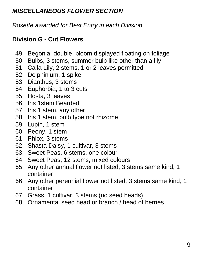#### *MISCELLANEOUS FLOWER SECTION*

*Rosette awarded for Best Entry in each Division*

#### **Division G - Cut Flowers**

- 49. Begonia, double, bloom displayed floating on foliage
- 50. Bulbs, 3 stems, summer bulb like other than a lily
- 51. Calla Lily, 2 stems, 1 or 2 leaves permitted
- 52. Delphinium, 1 spike
- 53. Dianthus, 3 stems
- 54. Euphorbia, 1 to 3 cuts
- 55. Hosta, 3 leaves
- 56. Iris 1stem Bearded
- 57. Iris 1 stem, any other
- 58. Iris 1 stem, bulb type not rhizome
- 59. Lupin, 1 stem
- 60. Peony, 1 stem
- 61. Phlox, 3 stems
- 62. Shasta Daisy, 1 cultivar, 3 stems
- 63. Sweet Peas, 6 stems, one colour
- 64. Sweet Peas, 12 stems, mixed colours
- 65. Any other annual flower not listed, 3 stems same kind, 1 container
- 66. Any other perennial flower not listed, 3 stems same kind, 1 container
- 67. Grass, 1 cultivar, 3 stems (no seed heads)
- 68. Ornamental seed head or branch / head of berries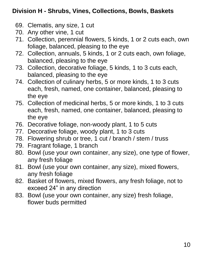#### **Division H - Shrubs, Vines, Collections, Bowls, Baskets**

- 69. Clematis, any size, 1 cut
- 70. Any other vine, 1 cut
- 71. Collection, perennial flowers, 5 kinds, 1 or 2 cuts each, own foliage, balanced, pleasing to the eye
- 72. Collection, annuals, 5 kinds, 1 or 2 cuts each, own foliage, balanced, pleasing to the eye
- 73. Collection, decorative foliage, 5 kinds, 1 to 3 cuts each, balanced, pleasing to the eye
- 74. Collection of culinary herbs, 5 or more kinds, 1 to 3 cuts each, fresh, named, one container, balanced, pleasing to the eye
- 75. Collection of medicinal herbs, 5 or more kinds, 1 to 3 cuts each, fresh, named, one container, balanced, pleasing to the eye
- 76. Decorative foliage, non-woody plant, 1 to 5 cuts
- 77. Decorative foliage, woody plant, 1 to 3 cuts
- 78. Flowering shrub or tree, 1 cut / branch / stem / truss
- 79. Fragrant foliage, 1 branch
- 80. Bowl (use your own container, any size), one type of flower, any fresh foliage
- 81. Bowl (use your own container, any size), mixed flowers, any fresh foliage
- 82. Basket of flowers, mixed flowers, any fresh foliage, not to exceed 24" in any direction
- 83. Bowl (use your own container, any size) fresh foliage, flower buds permitted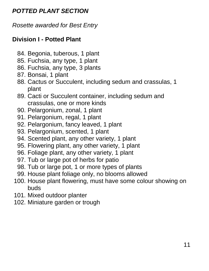#### *POTTED PLANT SECTION*

*Rosette awarded for Best Entry*

#### **Division I - Potted Plant**

- 84. Begonia, tuberous, 1 plant
- 85. Fuchsia, any type, 1 plant
- 86. Fuchsia, any type, 3 plants
- 87. Bonsai, 1 plant
- 88. Cactus or Succulent, including sedum and crassulas, 1 plant
- 89. Cacti or Succulent container, including sedum and crassulas, one or more kinds
- 90. Pelargonium, zonal, 1 plant
- 91. Pelargonium, regal, 1 plant
- 92. Pelargonium, fancy leaved, 1 plant
- 93. Pelargonium, scented, 1 plant
- 94. Scented plant, any other variety, 1 plant
- 95. Flowering plant, any other variety, 1 plant
- 96. Foliage plant, any other variety, 1 plant
- 97. Tub or large pot of herbs for patio
- 98. Tub or large pot, 1 or more types of plants
- 99. House plant foliage only, no blooms allowed
- 100. House plant flowering, must have some colour showing on buds
- 101. Mixed outdoor planter
- 102. Miniature garden or trough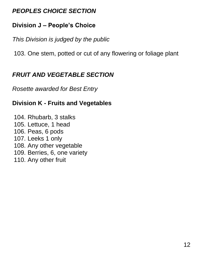#### *PEOPLES CHOICE SECTION*

# **Division J – People's Choice**

*This Division is judged by the public*

103. One stem, potted or cut of any flowering or foliage plant

# *FRUIT AND VEGETABLE SECTION*

*Rosette awarded for Best Entry*

# **Division K - Fruits and Vegetables**

104. Rhubarb, 3 stalks 105. Lettuce, 1 head 106. Peas, 6 pods 107. Leeks 1 only 108. Any other vegetable 109. Berries, 6, one variety 110. Any other fruit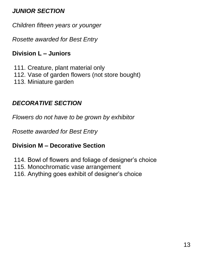#### *JUNIOR SECTION*

*Children fifteen years or younger*

*Rosette awarded for Best Entry*

#### **Division L – Juniors**

111. Creature, plant material only 112. Vase of garden flowers (not store bought) 113. Miniature garden

### *DECORATIVE SECTION*

*Flowers do not have to be grown by exhibitor*

*Rosette awarded for Best Entry*

# **Division M – Decorative Section**

- 114. Bowl of flowers and foliage of designer's choice
- 115. Monochromatic vase arrangement
- 116. Anything goes exhibit of designer's choice